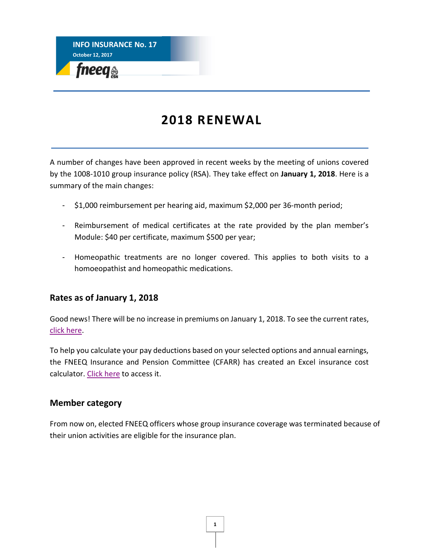

# **2018 RENEWAL**

A number of changes have been approved in recent weeks by the meeting of unions covered by the 1008-1010 group insurance policy (RSA). They take effect on **January 1, 2018**. Here is a summary of the main changes:

- \$1,000 reimbursement per hearing aid, maximum \$2,000 per 36-month period;
- Reimbursement of medical certificates at the rate provided by the plan member's Module: \$40 per certificate, maximum \$500 per year;
- Homeopathic treatments are no longer covered. This applies to both visits to a homoeopathist and homeopathic medications.

## **Rates as of January 1, 2018**

Good news! There will be no increase in premiums on January 1, 2018. To see the current rates, [click here.](https://www.lacapitale.com/files/live/sites/lacapitale/files/contributed/collectif/en/pdf/Leaflet_001008-001010_rates_201701.pdf)

To help you calculate your pay deductions based on your selected options and annual earnings, the FNEEQ Insurance and Pension Committee (CFARR) has created an Excel insurance cost calculator[. Click here](http://fneeq.qc.ca/en/group_insurance/) to access it.

## **Member category**

From now on, elected FNEEQ officers whose group insurance coverage was terminated because of their union activities are eligible for the insurance plan.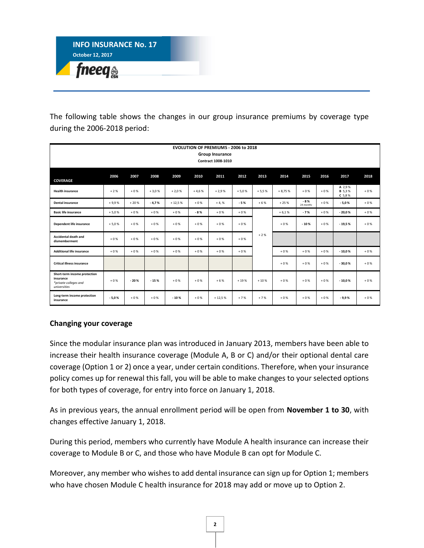

The following table shows the changes in our group insurance premiums by coverage type during the 2006-2018 period:

| <b>EVOLUTION OF PREMIUMS - 2006 to 2018</b><br>Group Insurance<br><b>Contract 1008-1010</b> |         |        |         |          |         |          |         |         |          |                    |       |                                     |       |
|---------------------------------------------------------------------------------------------|---------|--------|---------|----------|---------|----------|---------|---------|----------|--------------------|-------|-------------------------------------|-------|
| <b>COVERAGE</b>                                                                             | 2006    | 2007   | 2008    | 2009     | 2010    | 2011     | 2012    | 2013    | 2014     | 2015               | 2016  | 2017                                | 2018  |
| <b>Health insurance</b>                                                                     | $+2%$   | $+0%$  | $+3,0%$ | $+2,0%$  | $+4,6%$ | $+2,9%$  | $+5,0%$ | $+5,5%$ | $+8,75%$ | $+0%$              | $+0%$ | A 2,9%<br><b>B</b> 5,3%<br>$C$ 5,8% | $+0%$ |
| <b>Dental insurance</b>                                                                     | $+9,9%$ | $+20%$ | $-4,7%$ | $+12,5%$ | $+0%$   | $+4, %$  | $-5%$   | $+6%$   | $+25%$   | $-8%$<br>24 months | $+0%$ | $-5,0%$                             | $+0%$ |
| <b>Basic life insurance</b>                                                                 | $+5,0%$ | $+0%$  | $+0%$   | $+0%$    | $-8%$   | $+0%$    | $+0%$   |         | $+6,1%$  | $-7%$              | $+0%$ | $-20,0%$                            | $+0%$ |
| Dependent life insurance                                                                    | $+5,0%$ | $+0%$  | $+0%$   | $+0%$    | $+0%$   | $+0%$    | $+0%$   |         | $+0%$    | $-10%$             | $+0%$ | $-19,5%$                            | $+0%$ |
| <b>Accidental death and</b><br>dismemberment                                                | $+0%$   | $+0%$  | $+0%$   | $+0%$    | $+0%$   | $+0%$    | $+0%$   | $+2%$   |          |                    |       |                                     |       |
| <b>Additional life insurance</b>                                                            | $+0%$   | $+0%$  | $+0%$   | $+0%$    | $+0%$   | $+0%$    | $+0%$   |         | $+0%$    | $+0%$              | $+0%$ | $-10,0%$                            | $+0%$ |
| <b>Critical illness insurance</b>                                                           |         |        |         |          |         |          |         |         | $+0%$    | $+0%$              | $+0%$ | $-30,0%$                            | $+0%$ |
| Short-term income protection<br>insurance<br>*private colleges and<br>universities          | $+0%$   | $-20%$ | $-15%$  | $+0%$    | $+0%$   | $+6%$    | $+19%$  | $+10%$  | $+0%$    | $+0%$              | $+0%$ | $-10,0%$                            | $+0%$ |
| Long-term income protection<br>insurance                                                    | $-5,0%$ | $+0%$  | $+0%$   | $-10%$   | $+0%$   | $+12,5%$ | $+7%$   | $+7%$   | $+0%$    | $+0%$              | $+0%$ | $-9,9%$                             | $+0%$ |

### **Changing your coverage**

Since the modular insurance plan was introduced in January 2013, members have been able to increase their health insurance coverage (Module A, B or C) and/or their optional dental care coverage (Option 1 or 2) once a year, under certain conditions. Therefore, when your insurance policy comes up for renewal this fall, you will be able to make changes to your selected options for both types of coverage, for entry into force on January 1, 2018.

As in previous years, the annual enrollment period will be open from **November 1 to 30**, with changes effective January 1, 2018.

During this period, members who currently have Module A health insurance can increase their coverage to Module B or C, and those who have Module B can opt for Module C.

Moreover, any member who wishes to add dental insurance can sign up for Option 1; members who have chosen Module C health insurance for 2018 may add or move up to Option 2.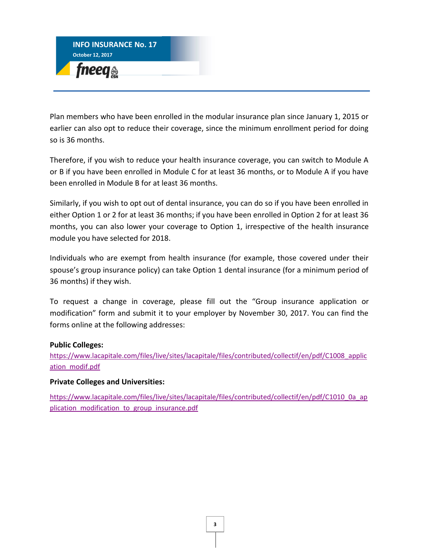

Plan members who have been enrolled in the modular insurance plan since January 1, 2015 or earlier can also opt to reduce their coverage, since the minimum enrollment period for doing so is 36 months.

Therefore, if you wish to reduce your health insurance coverage, you can switch to Module A or B if you have been enrolled in Module C for at least 36 months, or to Module A if you have been enrolled in Module B for at least 36 months.

Similarly, if you wish to opt out of dental insurance, you can do so if you have been enrolled in either Option 1 or 2 for at least 36 months; if you have been enrolled in Option 2 for at least 36 months, you can also lower your coverage to Option 1, irrespective of the health insurance module you have selected for 2018.

Individuals who are exempt from health insurance (for example, those covered under their spouse's group insurance policy) can take Option 1 dental insurance (for a minimum period of 36 months) if they wish.

To request a change in coverage, please fill out the "Group insurance application or modification" form and submit it to your employer by November 30, 2017. You can find the forms online at the following addresses:

#### **Public Colleges:**

[https://www.lacapitale.com/files/live/sites/lacapitale/files/contributed/collectif/en/pdf/C1008\\_applic](https://www.lacapitale.com/files/live/sites/lacapitale/files/contributed/collectif/en/pdf/C1008_application_modif.pdf) [ation\\_modif.pdf](https://www.lacapitale.com/files/live/sites/lacapitale/files/contributed/collectif/en/pdf/C1008_application_modif.pdf)

#### **Private Colleges and Universities:**

[https://www.lacapitale.com/files/live/sites/lacapitale/files/contributed/collectif/en/pdf/C1010\\_0a\\_ap](https://www.lacapitale.com/files/live/sites/lacapitale/files/contributed/collectif/en/pdf/C1010_0a_application_modification_to_group_insurance.pdf) plication modification to group insurance.pdf